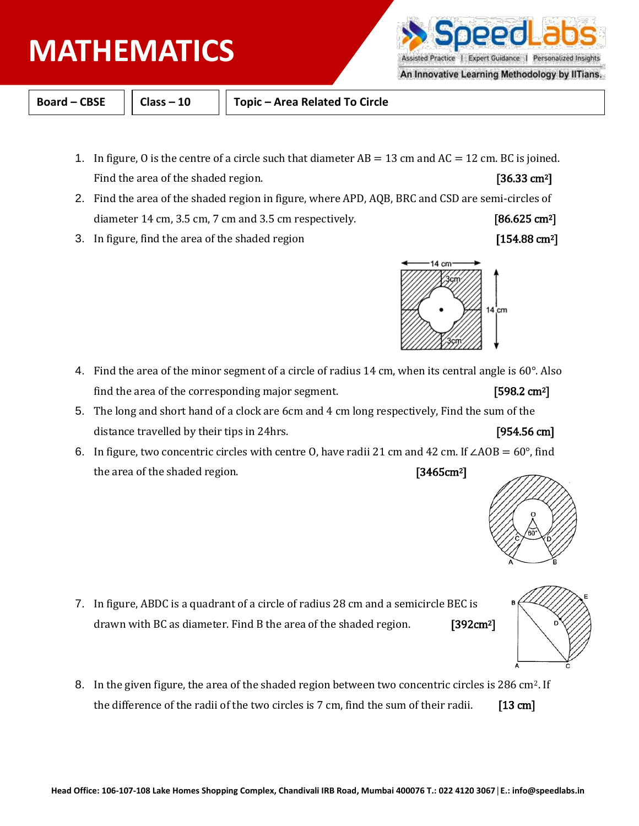- 
- 3. In figure, find the area of the shaded region [154.88 cm<sup>2</sup>]

- 4. Find the area of the minor segment of a circle of radius 14 cm, when its central angle is 60°. Also find the area of the corresponding major segment.  $[598.2 \text{ cm}^2]$
- 5. The long and short hand of a clock are 6cm and 4 cm long respectively, Find the sum of the distance travelled by their tips in 24hrs. **Example 20 cm** [954.56 cm]
- 6. In figure, two concentric circles with centre O, have radii 21 cm and 42 cm. If ∠AOB = 60°, find the area of the shaded region. [3465cm<sup>2</sup>]

- 7. In figure, ABDC is a quadrant of a circle of radius 28 cm and a semicircle BEC is drawn with BC as diameter. Find B the area of the shaded region. [392cm<sup>2</sup>]
- 8. In the given figure, the area of the shaded region between two concentric circles is 286 cm2. If the difference of the radii of the two circles is  $7 \text{ cm}$ , find the sum of their radii. [13 cm]

# **PHYSICS MATHEMATICS**



**Board – CBSE Class – 10 Topic – Area Related To Circle**

- 1. In figure, 0 is the centre of a circle such that diameter  $AB = 13$  cm and  $AC = 12$  cm. BC is joined. Find the area of the shaded region. [36.33 cm<sup>2</sup>]
- 2. Find the area of the shaded region in figure, where APD, AQB, BRC and CSD are semi-circles of diameter 14 cm, 3.5 cm, 7 cm and 3.5 cm respectively.  $[86.625 \text{ cm}^2]$









### An Innovative Learning Methodology by IITians.